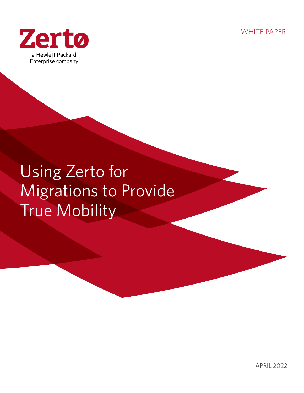WHITE PAPER



# Using Zerto for Migrations to Provide True Mobility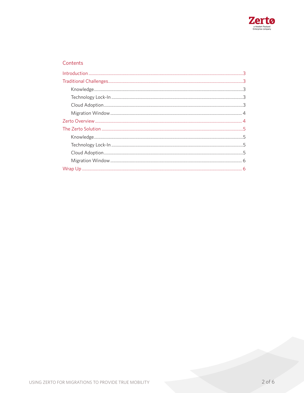

# Contents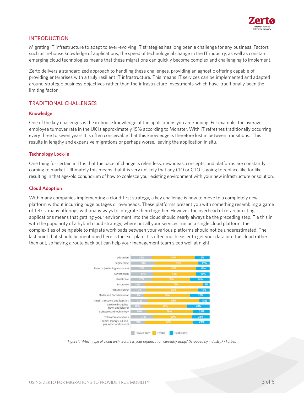

# INTRODUCTION

Migrating IT infrastructure to adapt to ever-evolving IT strategies has long been a challenge for any business. Factors such as in-house knowledge of applications, the speed of technological change in the IT industry, as well as constant emerging cloud technologies means that these migrations can quickly become complex and challenging to implement.

Zerto delivers a standardized approach to handling these challenges, providing an agnostic offering capable of providing enterprises with a truly resilient IT infrastructure. This means IT services can be implemented and adapted around strategic business objectives rather than the infrastructure investments which have traditionally been the limiting factor.

# TRADITIONAL CHALLENGES

### **Knowledge**

One of the key challenges is the in-house knowledge of the applications you are running. For example, the average employee turnover rate in the UK is approximately 15% according to Monster. With IT refreshes traditionally occurring every three to seven years it is often conceivable that this knowledge is therefore lost in between transitions. This results in lengthy and expensive migrations or perhaps worse, leaving the application in situ.

# **Technology Lock-in**

One thing for certain in IT is that the pace of change is relentless; new ideas, concepts, and platforms are constantly coming to market. Ultimately this means that it is very unlikely that any CIO or CTO is going to replace like for like, resulting in that age-old conundrum of how to coalesce your existing environment with your new infrastructure or solution.

# **Cloud Adoption**

With many companies implementing a cloud-first strategy, a key challenge is how to move to a completely new platform without incurring huge outages or overheads. These platforms present you with something resembling a game of Tetris, many offerings with many ways to integrate them together. However, the overhead of re-architecting applications means that getting your environment into the cloud should nearly always be the preceding step. Tie this in with the popularity of a hybrid cloud strategy, where not all your services run on a single cloud platform, the complexities of being able to migrate workloads between your various platforms should not be underestimated. The last point that should be mentioned here is the exit plan. It is often much easier to get your data into the cloud rather than out, so having a route back out can help your management team sleep well at night.



*Figure 1. Which type of cloud architecture is your organization currently using? (Grouped by industry) - Forbes*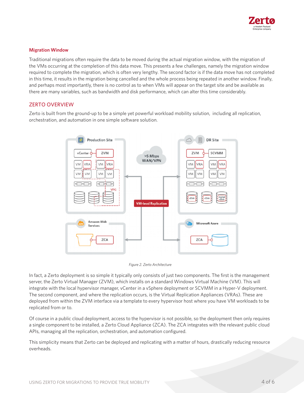

### **Migration Window**

Traditional migrations often require the data to be moved during the actual migration window, with the migration of the VMs occurring at the completion of this data move. This presents a few challenges, namely the migration window required to complete the migration, which is often very lengthy. The second factor is if the data move has not completed in this time, it results in the migration being cancelled and the whole process being repeated in another window. Finally, and perhaps most importantly, there is no control as to when VMs will appear on the target site and be available as there are many variables, such as bandwidth and disk performance, which can alter this time considerably.

# ZERTO OVERVIEW

Zerto is built from the ground-up to be a simple yet powerful workload mobility solution, including all replication, orchestration, and automation in one simple software solution.



*Figure 2. Zerto Architecture*

In fact, a Zerto deployment is so simple it typically only consists of just two components. The first is the management server, the Zerto Virtual Manager (ZVM), which installs on a standard Windows Virtual Machine (VM). This will integrate with the local hypervisor manager, vCenter in a vSphere deployment or SCVMM in a Hyper-V deployment. The second component, and where the replication occurs, is the Virtual Replication Appliances (VRAs). These are deployed from within the ZVM interface via a template to every hypervisor host where you have VM workloads to be replicated from or to.

Of course in a public cloud deployment, access to the hypervisor is not possible, so the deployment then only requires a single component to be installed, a Zerto Cloud Appliance (ZCA). The ZCA integrates with the relevant public cloud APIs, managing all the replication, orchestration, and automation configured.

This simplicity means that Zerto can be deployed and replicating with a matter of hours, drastically reducing resource overheads.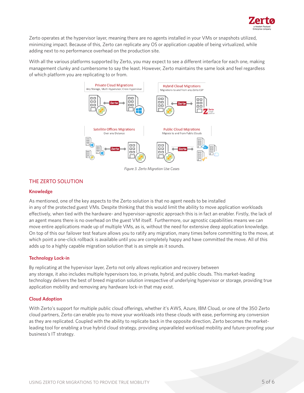

Zerto operates at the hypervisor layer, meaning there are no agents installed in your VMs or snapshots utilized, minimizing impact. Because of this, Zerto can replicate any OS or application capable of being virtualized, while adding next to no performance overhead on the production site.

With all the various platforms supported by Zerto, you may expect to see a different interface for each one, making management clunky and cumbersome to say the least. However, Zerto maintains the same look and feel regardless of which platform you are replicating to or from.



*Figure 3. Zerto Migration Use Cases*

# THE ZERTO SOLUTION

### **Knowledge**

As mentioned, one of the key aspects to the Zerto solution is that no agent needs to be installed in any of the protected guest VMs. Despite thinking that this would limit the ability to move application workloads effectively, when tied with the hardware- and hypervisor-agnostic approach this is in fact an enabler. Firstly, the lack of an agent means there is no overhead on the guest VM itself. Furthermore, our agnostic capabilities means we can move entire applications made up of multiple VMs, as is, without the need for extensive deep application knowledge. On top of this our failover test feature allows you to ratify any migration, many times before committing to the move, at which point a one-click rollback is available until you are completely happy and have committed the move. All of this adds up to a highly capable migration solution that is as simple as it sounds.

### **Technology Lock-in**

By replicating at the hypervisor layer, Zerto not only allows replication and recovery between any storage, it also includes multiple hypervisors too, in private, hybrid, and public clouds. This market-leading technology delivers the best of breed migration solution irrespective of underlying hypervisor or storage, providing true application mobility and removing any hardware lock-in that may exist.

### **Cloud Adoption**

With Zerto's support for multiple public cloud offerings, whether it's AWS, Azure, IBM Cloud, or one of the 350 Zerto cloud partners, Zerto can enable you to move your workloads into these clouds with ease, performing any conversion as they are replicated. Coupled with the ability to replicate back in the opposite direction, Zerto becomes the marketleading tool for enabling a true hybrid cloud strategy, providing unparalleled workload mobility and future-proofing your business's IT strategy.